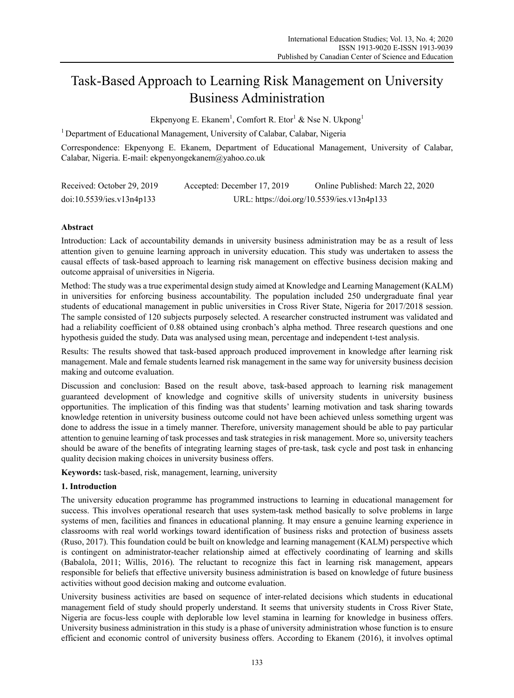# Task-Based Approach to Learning Risk Management on University Business Administration

Ekpenyong E. Ekanem<sup>1</sup>, Comfort R. Etor<sup>1</sup> & Nse N. Ukpong<sup>1</sup>

<sup>1</sup> Department of Educational Management, University of Calabar, Calabar, Nigeria

Correspondence: Ekpenyong E. Ekanem, Department of Educational Management, University of Calabar, Calabar, Nigeria. E-mail: ekpenyongekanem@yahoo.co.uk

| Received: October 29, 2019 | Accepted: December 17, 2019 | Online Published: March 22, 2020           |
|----------------------------|-----------------------------|--------------------------------------------|
| doi:10.5539/ies.v13n4p133  |                             | URL: https://doi.org/10.5539/ies.v13n4p133 |

# **Abstract**

Introduction: Lack of accountability demands in university business administration may be as a result of less attention given to genuine learning approach in university education. This study was undertaken to assess the causal effects of task-based approach to learning risk management on effective business decision making and outcome appraisal of universities in Nigeria.

Method: The study was a true experimental design study aimed at Knowledge and Learning Management (KALM) in universities for enforcing business accountability. The population included 250 undergraduate final year students of educational management in public universities in Cross River State, Nigeria for 2017/2018 session. The sample consisted of 120 subjects purposely selected. A researcher constructed instrument was validated and had a reliability coefficient of 0.88 obtained using cronbach's alpha method. Three research questions and one hypothesis guided the study. Data was analysed using mean, percentage and independent t-test analysis.

Results: The results showed that task-based approach produced improvement in knowledge after learning risk management. Male and female students learned risk management in the same way for university business decision making and outcome evaluation.

Discussion and conclusion: Based on the result above, task-based approach to learning risk management guaranteed development of knowledge and cognitive skills of university students in university business opportunities. The implication of this finding was that students' learning motivation and task sharing towards knowledge retention in university business outcome could not have been achieved unless something urgent was done to address the issue in a timely manner. Therefore, university management should be able to pay particular attention to genuine learning of task processes and task strategies in risk management. More so, university teachers should be aware of the benefits of integrating learning stages of pre-task, task cycle and post task in enhancing quality decision making choices in university business offers.

**Keywords:** task-based, risk, management, learning, university

# **1. Introduction**

The university education programme has programmed instructions to learning in educational management for success. This involves operational research that uses system-task method basically to solve problems in large systems of men, facilities and finances in educational planning. It may ensure a genuine learning experience in classrooms with real world workings toward identification of business risks and protection of business assets (Ruso, 2017). This foundation could be built on knowledge and learning management (KALM) perspective which is contingent on administrator-teacher relationship aimed at effectively coordinating of learning and skills (Babalola, 2011; Willis, 2016). The reluctant to recognize this fact in learning risk management, appears responsible for beliefs that effective university business administration is based on knowledge of future business activities without good decision making and outcome evaluation.

University business activities are based on sequence of inter-related decisions which students in educational management field of study should properly understand. It seems that university students in Cross River State, Nigeria are focus-less couple with deplorable low level stamina in learning for knowledge in business offers. University business administration in this study is a phase of university administration whose function is to ensure efficient and economic control of university business offers. According to Ekanem (2016), it involves optimal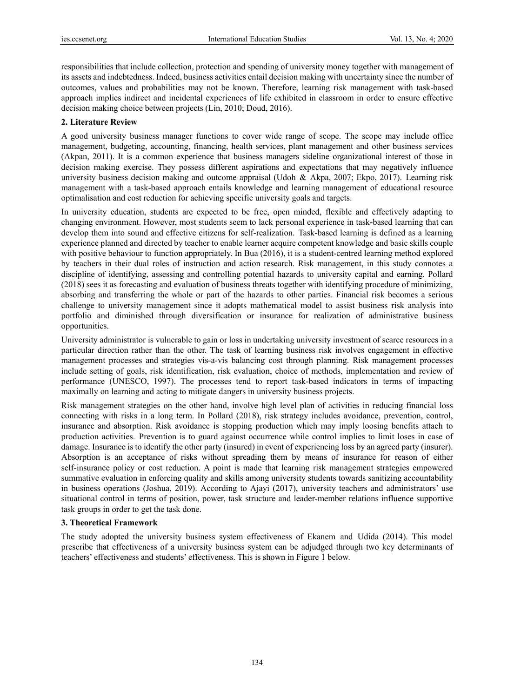responsibilities that include collection, protection and spending of university money together with management of its assets and indebtedness. Indeed, business activities entail decision making with uncertainty since the number of outcomes, values and probabilities may not be known. Therefore, learning risk management with task-based approach implies indirect and incidental experiences of life exhibited in classroom in order to ensure effective decision making choice between projects (Lin, 2010; Doud, 2016).

## **2. Literature Review**

A good university business manager functions to cover wide range of scope. The scope may include office management, budgeting, accounting, financing, health services, plant management and other business services (Akpan, 2011). It is a common experience that business managers sideline organizational interest of those in decision making exercise. They possess different aspirations and expectations that may negatively influence university business decision making and outcome appraisal (Udoh & Akpa, 2007; Ekpo, 2017). Learning risk management with a task-based approach entails knowledge and learning management of educational resource optimalisation and cost reduction for achieving specific university goals and targets.

In university education, students are expected to be free, open minded, flexible and effectively adapting to changing environment. However, most students seem to lack personal experience in task-based learning that can develop them into sound and effective citizens for self-realization. Task-based learning is defined as a learning experience planned and directed by teacher to enable learner acquire competent knowledge and basic skills couple with positive behaviour to function appropriately. In Bua (2016), it is a student-centred learning method explored by teachers in their dual roles of instruction and action research. Risk management, in this study connotes a discipline of identifying, assessing and controlling potential hazards to university capital and earning. Pollard (2018) sees it as forecasting and evaluation of business threats together with identifying procedure of minimizing, absorbing and transferring the whole or part of the hazards to other parties. Financial risk becomes a serious challenge to university management since it adopts mathematical model to assist business risk analysis into portfolio and diminished through diversification or insurance for realization of administrative business opportunities.

University administrator is vulnerable to gain or loss in undertaking university investment of scarce resources in a particular direction rather than the other. The task of learning business risk involves engagement in effective management processes and strategies vis-a-vis balancing cost through planning. Risk management processes include setting of goals, risk identification, risk evaluation, choice of methods, implementation and review of performance (UNESCO, 1997). The processes tend to report task-based indicators in terms of impacting maximally on learning and acting to mitigate dangers in university business projects.

Risk management strategies on the other hand, involve high level plan of activities in reducing financial loss connecting with risks in a long term. In Pollard (2018), risk strategy includes avoidance, prevention, control, insurance and absorption. Risk avoidance is stopping production which may imply loosing benefits attach to production activities. Prevention is to guard against occurrence while control implies to limit loses in case of damage. Insurance is to identify the other party (insured) in event of experiencing loss by an agreed party (insurer). Absorption is an acceptance of risks without spreading them by means of insurance for reason of either self-insurance policy or cost reduction. A point is made that learning risk management strategies empowered summative evaluation in enforcing quality and skills among university students towards sanitizing accountability in business operations (Joshua, 2019). According to Ajayi (2017), university teachers and administrators' use situational control in terms of position, power, task structure and leader-member relations influence supportive task groups in order to get the task done.

## **3. Theoretical Framework**

The study adopted the university business system effectiveness of Ekanem and Udida (2014). This model prescribe that effectiveness of a university business system can be adjudged through two key determinants of teachers' effectiveness and students' effectiveness. This is shown in Figure 1 below.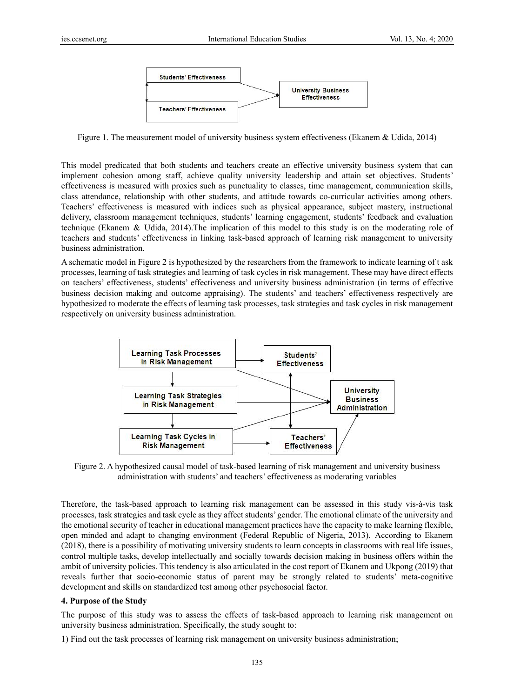

Figure 1. The measurement model of university business system effectiveness (Ekanem & Udida, 2014)

This model predicated that both students and teachers create an effective university business system that can implement cohesion among staff, achieve quality university leadership and attain set objectives. Students' effectiveness is measured with proxies such as punctuality to classes, time management, communication skills, class attendance, relationship with other students, and attitude towards co-curricular activities among others. Teachers' effectiveness is measured with indices such as physical appearance, subject mastery, instructional delivery, classroom management techniques, students' learning engagement, students' feedback and evaluation technique (Ekanem & Udida, 2014).The implication of this model to this study is on the moderating role of teachers and students' effectiveness in linking task-based approach of learning risk management to university business administration.

A schematic model in Figure 2 is hypothesized by the researchers from the framework to indicate learning of t ask processes, learning of task strategies and learning of task cycles in risk management. These may have direct effects on teachers' effectiveness, students' effectiveness and university business administration (in terms of effective business decision making and outcome appraising). The students' and teachers' effectiveness respectively are hypothesized to moderate the effects of learning task processes, task strategies and task cycles in risk management respectively on university business administration.



Figure 2. A hypothesized causal model of task-based learning of risk management and university business administration with students' and teachers' effectiveness as moderating variables

Therefore, the task-based approach to learning risk management can be assessed in this study vis-à-vis task processes, task strategies and task cycle as they affect students' gender. The emotional climate of the university and the emotional security of teacher in educational management practices have the capacity to make learning flexible, open minded and adapt to changing environment (Federal Republic of Nigeria, 2013). According to Ekanem (2018), there is a possibility of motivating university students to learn concepts in classrooms with real life issues, control multiple tasks, develop intellectually and socially towards decision making in business offers within the ambit of university policies. This tendency is also articulated in the cost report of Ekanem and Ukpong (2019) that reveals further that socio-economic status of parent may be strongly related to students' meta-cognitive development and skills on standardized test among other psychosocial factor.

## **4. Purpose of the Study**

The purpose of this study was to assess the effects of task-based approach to learning risk management on university business administration. Specifically, the study sought to:

1) Find out the task processes of learning risk management on university business administration;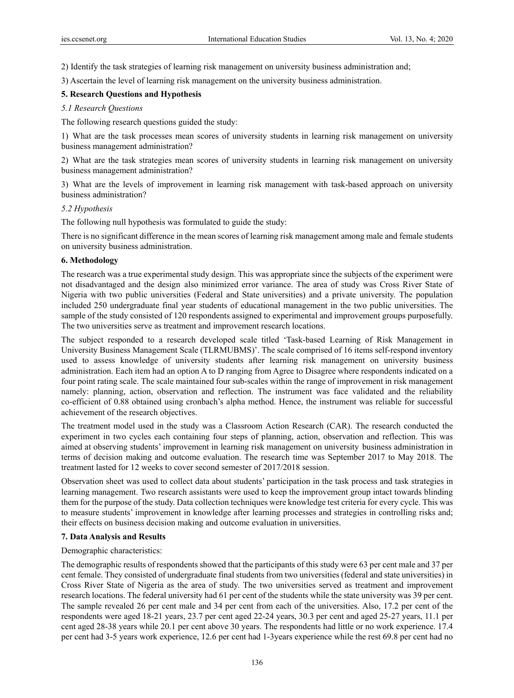2) Identify the task strategies of learning risk management on university business administration and;

3) Ascertain the level of learning risk management on the university business administration.

## **5. Research Questions and Hypothesis**

## *5.1 Research Questions*

The following research questions guided the study:

1) What are the task processes mean scores of university students in learning risk management on university business management administration?

2) What are the task strategies mean scores of university students in learning risk management on university business management administration?

3) What are the levels of improvement in learning risk management with task-based approach on university business administration?

## *5.2 Hypothesis*

The following null hypothesis was formulated to guide the study:

There is no significant difference in the mean scores of learning risk management among male and female students on university business administration.

## **6. Methodology**

The research was a true experimental study design. This was appropriate since the subjects of the experiment were not disadvantaged and the design also minimized error variance. The area of study was Cross River State of Nigeria with two public universities (Federal and State universities) and a private university. The population included 250 undergraduate final year students of educational management in the two public universities. The sample of the study consisted of 120 respondents assigned to experimental and improvement groups purposefully. The two universities serve as treatment and improvement research locations.

The subject responded to a research developed scale titled 'Task-based Learning of Risk Management in University Business Management Scale (TLRMUBMS)'. The scale comprised of 16 items self-respond inventory used to assess knowledge of university students after learning risk management on university business administration. Each item had an option A to D ranging from Agree to Disagree where respondents indicated on a four point rating scale. The scale maintained four sub-scales within the range of improvement in risk management namely: planning, action, observation and reflection. The instrument was face validated and the reliability co-efficient of 0.88 obtained using cronbach's alpha method. Hence, the instrument was reliable for successful achievement of the research objectives.

The treatment model used in the study was a Classroom Action Research (CAR). The research conducted the experiment in two cycles each containing four steps of planning, action, observation and reflection. This was aimed at observing students' improvement in learning risk management on university business administration in terms of decision making and outcome evaluation. The research time was September 2017 to May 2018. The treatment lasted for 12 weeks to cover second semester of 2017/2018 session.

Observation sheet was used to collect data about students' participation in the task process and task strategies in learning management. Two research assistants were used to keep the improvement group intact towards blinding them for the purpose of the study. Data collection techniques were knowledge test criteria for every cycle. This was to measure students' improvement in knowledge after learning processes and strategies in controlling risks and; their effects on business decision making and outcome evaluation in universities.

## **7. Data Analysis and Results**

## Demographic characteristics:

The demographic results of respondents showed that the participants of this study were 63 per cent male and 37 per cent female. They consisted of undergraduate final students from two universities (federal and state universities) in Cross River State of Nigeria as the area of study. The two universities served as treatment and improvement research locations. The federal university had 61 per cent of the students while the state university was 39 per cent. The sample revealed 26 per cent male and 34 per cent from each of the universities. Also, 17.2 per cent of the respondents were aged 18-21 years, 23.7 per cent aged 22-24 years, 30.3 per cent and aged 25-27 years, 11.1 per cent aged 28-38 years while 20.1 per cent above 30 years. The respondents had little or no work experience. 17.4 per cent had 3-5 years work experience, 12.6 per cent had 1-3years experience while the rest 69.8 per cent had no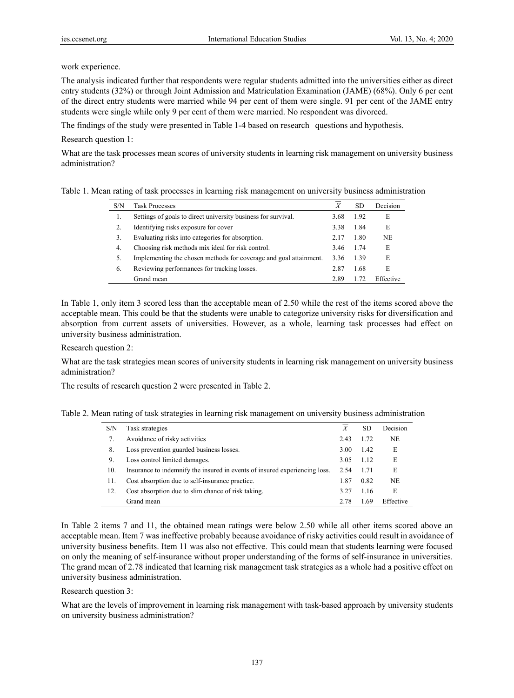work experience.

The analysis indicated further that respondents were regular students admitted into the universities either as direct entry students (32%) or through Joint Admission and Matriculation Examination (JAME) (68%). Only 6 per cent of the direct entry students were married while 94 per cent of them were single. 91 per cent of the JAME entry students were single while only 9 per cent of them were married. No respondent was divorced.

The findings of the study were presented in Table 1-4 based on research questions and hypothesis.

Research question 1:

What are the task processes mean scores of university students in learning risk management on university business administration?

| Table 1. Mean rating of task processes in learning risk management on university business administration |  |  |
|----------------------------------------------------------------------------------------------------------|--|--|
|                                                                                                          |  |  |

| S/N | <b>Task Processes</b>                                             |      | SD   | Decision  |
|-----|-------------------------------------------------------------------|------|------|-----------|
| 1.  | Settings of goals to direct university business for survival.     | 3.68 | 1.92 | E         |
| 2.  | Identifying risks exposure for cover                              | 3.38 | 1.84 | E         |
| 3.  | Evaluating risks into categories for absorption.                  | 2.17 | 1.80 | NE.       |
| 4.  | Choosing risk methods mix ideal for risk control.                 | 3.46 | 1.74 | E         |
| 5.  | Implementing the chosen methods for coverage and goal attainment. | 3.36 | 1.39 | E         |
| 6.  | Reviewing performances for tracking losses.                       | 2.87 | 1.68 | E         |
|     | Grand mean                                                        | 2.89 |      | Effective |

In Table 1, only item 3 scored less than the acceptable mean of 2.50 while the rest of the items scored above the acceptable mean. This could be that the students were unable to categorize university risks for diversification and absorption from current assets of universities. However, as a whole, learning task processes had effect on university business administration.

Research question 2:

What are the task strategies mean scores of university students in learning risk management on university business administration?

The results of research question 2 were presented in Table 2.

Table 2. Mean rating of task strategies in learning risk management on university business administration

| S/N | Task strategies                                                            | X    | SD.  | Decision  |
|-----|----------------------------------------------------------------------------|------|------|-----------|
| 7.  | Avoidance of risky activities                                              | 2.43 | 1.72 | NE.       |
| 8.  | Loss prevention guarded business losses.                                   | 3.00 | 1.42 | E         |
| 9.  | Loss control limited damages.                                              | 3.05 | 1.12 | E         |
| 10. | Insurance to indemnify the insured in events of insured experiencing loss. | 2.54 | 1.71 | E         |
| 11. | Cost absorption due to self-insurance practice.                            | 1.87 | 0.82 | <b>NE</b> |
| 12. | Cost absorption due to slim chance of risk taking.                         | 3.27 | 1.16 | E         |
|     | Grand mean                                                                 | 2.78 | 1.69 | Effective |

In Table 2 items 7 and 11, the obtained mean ratings were below 2.50 while all other items scored above an acceptable mean. Item 7 was ineffective probably because avoidance of risky activities could result in avoidance of university business benefits. Item 11 was also not effective. This could mean that students learning were focused on only the meaning of self-insurance without proper understanding of the forms of self-insurance in universities. The grand mean of 2.78 indicated that learning risk management task strategies as a whole had a positive effect on university business administration.

#### Research question 3:

What are the levels of improvement in learning risk management with task-based approach by university students on university business administration?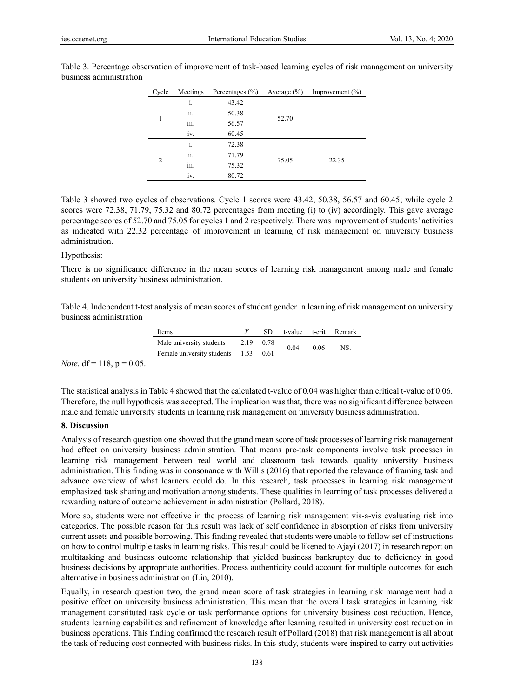| Cycle | Meetings       | Percentages $(\% )$ | Average $(\% )$ | Improvement $(\% )$ |  |
|-------|----------------|---------------------|-----------------|---------------------|--|
|       | i.             | 43.42               |                 |                     |  |
| 1     | ii.            | 50.38               |                 |                     |  |
|       | iii.           | 56.57               | 52.70           |                     |  |
|       | iv.            | 60.45               |                 |                     |  |
| 2     | $\mathbf{1}$ . | 72.38               |                 |                     |  |
|       | ii.            | 71.79               |                 |                     |  |
|       | iii.           | 75.32               | 75.05           | 22.35               |  |
|       | ٠<br>iv.       | 80.72               |                 |                     |  |

Table 3. Percentage observation of improvement of task-based learning cycles of risk management on university business administration

Table 3 showed two cycles of observations. Cycle 1 scores were 43.42, 50.38, 56.57 and 60.45; while cycle 2 scores were 72.38, 71.79, 75.32 and 80.72 percentages from meeting (i) to (iv) accordingly. This gave average percentage scores of 52.70 and 75.05 for cycles 1 and 2 respectively. There was improvement of students' activities as indicated with 22.32 percentage of improvement in learning of risk management on university business administration.

#### Hypothesis:

There is no significance difference in the mean scores of learning risk management among male and female students on university business administration.

Table 4. Independent t-test analysis of mean scores of student gender in learning of risk management on university business administration

| Items                           |           | SD.  |      |      | t-value t-crit Remark |
|---------------------------------|-----------|------|------|------|-----------------------|
| Male university students        | 2.19 0.78 |      |      | 0.06 | NS.                   |
| Female university students 1.53 |           | 0.61 | 0.04 |      |                       |

*Note*. df = 118,  $p = 0.05$ .

The statistical analysis in Table 4 showed that the calculated t-value of 0.04 was higher than critical t-value of 0.06. Therefore, the null hypothesis was accepted. The implication was that, there was no significant difference between male and female university students in learning risk management on university business administration.

#### **8. Discussion**

Analysis of research question one showed that the grand mean score of task processes of learning risk management had effect on university business administration. That means pre-task components involve task processes in learning risk management between real world and classroom task towards quality university business administration. This finding was in consonance with Willis (2016) that reported the relevance of framing task and advance overview of what learners could do. In this research, task processes in learning risk management emphasized task sharing and motivation among students. These qualities in learning of task processes delivered a rewarding nature of outcome achievement in administration (Pollard, 2018).

More so, students were not effective in the process of learning risk management vis-a-vis evaluating risk into categories. The possible reason for this result was lack of self confidence in absorption of risks from university current assets and possible borrowing. This finding revealed that students were unable to follow set of instructions on how to control multiple tasks in learning risks. This result could be likened to Ajayi (2017) in research report on multitasking and business outcome relationship that yielded business bankruptcy due to deficiency in good business decisions by appropriate authorities. Process authenticity could account for multiple outcomes for each alternative in business administration (Lin, 2010).

Equally, in research question two, the grand mean score of task strategies in learning risk management had a positive effect on university business administration. This mean that the overall task strategies in learning risk management constituted task cycle or task performance options for university business cost reduction. Hence, students learning capabilities and refinement of knowledge after learning resulted in university cost reduction in business operations. This finding confirmed the research result of Pollard (2018) that risk management is all about the task of reducing cost connected with business risks. In this study, students were inspired to carry out activities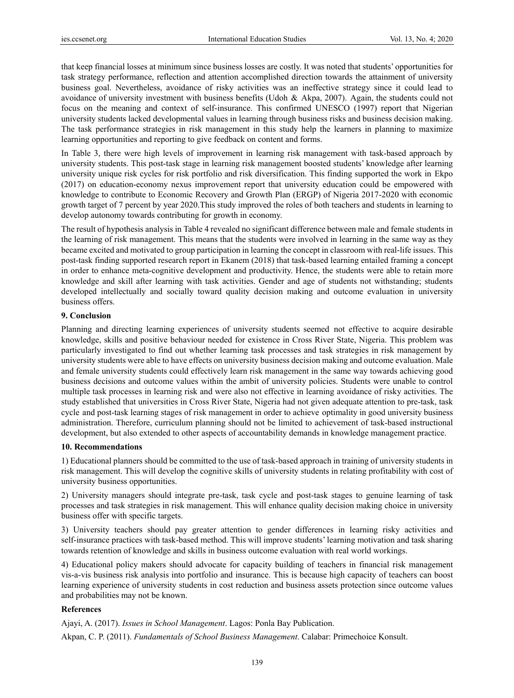that keep financial losses at minimum since business losses are costly. It was noted that students' opportunities for task strategy performance, reflection and attention accomplished direction towards the attainment of university business goal. Nevertheless, avoidance of risky activities was an ineffective strategy since it could lead to avoidance of university investment with business benefits (Udoh & Akpa, 2007). Again, the students could not focus on the meaning and context of self-insurance. This confirmed UNESCO (1997) report that Nigerian university students lacked developmental values in learning through business risks and business decision making. The task performance strategies in risk management in this study help the learners in planning to maximize learning opportunities and reporting to give feedback on content and forms.

In Table 3, there were high levels of improvement in learning risk management with task-based approach by university students. This post-task stage in learning risk management boosted students' knowledge after learning university unique risk cycles for risk portfolio and risk diversification. This finding supported the work in Ekpo (2017) on education-economy nexus improvement report that university education could be empowered with knowledge to contribute to Economic Recovery and Growth Plan (ERGP) of Nigeria 2017-2020 with economic growth target of 7 percent by year 2020.This study improved the roles of both teachers and students in learning to develop autonomy towards contributing for growth in economy.

The result of hypothesis analysis in Table 4 revealed no significant difference between male and female students in the learning of risk management. This means that the students were involved in learning in the same way as they became excited and motivated to group participation in learning the concept in classroom with real-life issues. This post-task finding supported research report in Ekanem (2018) that task-based learning entailed framing a concept in order to enhance meta-cognitive development and productivity. Hence, the students were able to retain more knowledge and skill after learning with task activities. Gender and age of students not withstanding; students developed intellectually and socially toward quality decision making and outcome evaluation in university business offers.

#### **9. Conclusion**

Planning and directing learning experiences of university students seemed not effective to acquire desirable knowledge, skills and positive behaviour needed for existence in Cross River State, Nigeria. This problem was particularly investigated to find out whether learning task processes and task strategies in risk management by university students were able to have effects on university business decision making and outcome evaluation. Male and female university students could effectively learn risk management in the same way towards achieving good business decisions and outcome values within the ambit of university policies. Students were unable to control multiple task processes in learning risk and were also not effective in learning avoidance of risky activities. The study established that universities in Cross River State, Nigeria had not given adequate attention to pre-task, task cycle and post-task learning stages of risk management in order to achieve optimality in good university business administration. Therefore, curriculum planning should not be limited to achievement of task-based instructional development, but also extended to other aspects of accountability demands in knowledge management practice.

#### **10. Recommendations**

1) Educational planners should be committed to the use of task-based approach in training of university students in risk management. This will develop the cognitive skills of university students in relating profitability with cost of university business opportunities.

2) University managers should integrate pre-task, task cycle and post-task stages to genuine learning of task processes and task strategies in risk management. This will enhance quality decision making choice in university business offer with specific targets.

3) University teachers should pay greater attention to gender differences in learning risky activities and self-insurance practices with task-based method. This will improve students' learning motivation and task sharing towards retention of knowledge and skills in business outcome evaluation with real world workings.

4) Educational policy makers should advocate for capacity building of teachers in financial risk management vis-a-vis business risk analysis into portfolio and insurance. This is because high capacity of teachers can boost learning experience of university students in cost reduction and business assets protection since outcome values and probabilities may not be known.

## **References**

Ajayi, A. (2017). *Issues in School Management*. Lagos: Ponla Bay Publication.

Akpan, C. P. (2011). *Fundamentals of School Business Management*. Calabar: Primechoice Konsult.